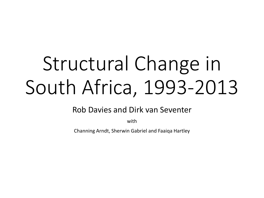# Structural Change in South Africa, 1993-2013

Rob Davies and Dirk van Seventer

with

Channing Arndt, Sherwin Gabriel and Faaiqa Hartley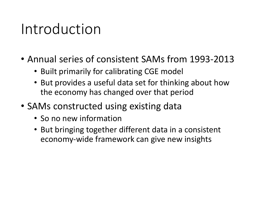### Introduction

- Annual series of consistent SAMs from 1993-2013
	- Built primarily for calibrating CGE model
	- But provides a useful data set for thinking about how the economy has changed over that period
- SAMs constructed using existing data
	- So no new information
	- But bringing together different data in a consistent economy-wide framework can give new insights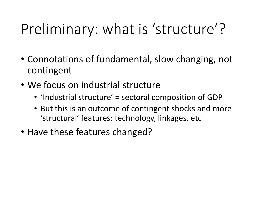## Preliminary: what is 'structure'?

- Connotations of fundamental, slow changing, not contingent
- We focus on industrial structure
	- 'Industrial structure' = sectoral composition of GDP
	- But this is an outcome of contingent shocks and more 'structural' features: technology, linkages, etc
- Have these features changed?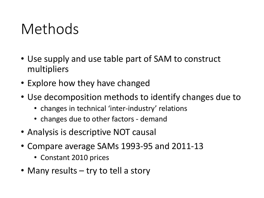### Methods

- Use supply and use table part of SAM to construct multipliers
- Explore how they have changed
- Use decomposition methods to identify changes due to
	- changes in technical 'inter-industry' relations
	- changes due to other factors demand
- Analysis is descriptive NOT causal
- Compare average SAMs 1993-95 and 2011-13
	- Constant 2010 prices
- Many results try to tell a story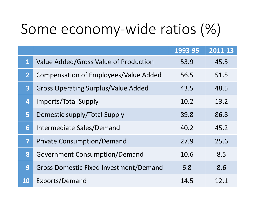## Some economy-wide ratios (%)

|                         |                                               | 1993-95 | 2011-13 |
|-------------------------|-----------------------------------------------|---------|---------|
| $\mathbf{1}$            | Value Added/Gross Value of Production         | 53.9    | 45.5    |
| $\mathbf{2}$            | <b>Compensation of Employees/Value Added</b>  | 56.5    | 51.5    |
| $\overline{\mathbf{3}}$ | <b>Gross Operating Surplus/Value Added</b>    | 43.5    | 48.5    |
| 4                       | Imports/Total Supply                          | 10.2    | 13.2    |
| 5 <sub>1</sub>          | Domestic supply/Total Supply                  | 89.8    | 86.8    |
| 6                       | Intermediate Sales/Demand                     | 40.2    | 45.2    |
| $\overline{\mathbf{7}}$ | <b>Private Consumption/Demand</b>             | 27.9    | 25.6    |
| 8                       | <b>Government Consumption/Demand</b>          | 10.6    | 8.5     |
| 9                       | <b>Gross Domestic Fixed Investment/Demand</b> | 6.8     | 8.6     |
| <b>10</b>               | Exports/Demand                                | 14.5    | 12.1    |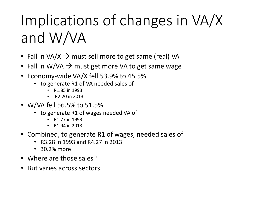# Implications of changes in VA/X and W/VA

- Fall in VA/X  $\rightarrow$  must sell more to get same (real) VA
- Fall in W/VA  $\rightarrow$  must get more VA to get same wage
- Economy-wide VA/X fell 53.9% to 45.5%
	- to generate R1 of VA needed sales of
		- R1.85 in 1993
		- R2.20 in 2013
- W/VA fell 56.5% to 51.5%
	- to generate R1 of wages needed VA of
		- R1.77 in 1993
		- R1.94 in 2013
- Combined, to generate R1 of wages, needed sales of
	- R3.28 in 1993 and R4.27 in 2013
	- 30.2% more
- Where are those sales?
- But varies across sectors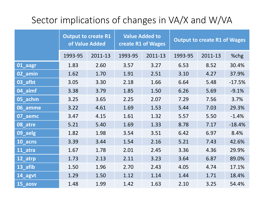### Sector implications of changes in VA/X and W/VA

|           | <b>Output to create R1</b><br>of Value Added |         | <b>Value Added to</b><br>create R1 of Wages |         | <b>Output to create R1 of Wages</b> |         |          |
|-----------|----------------------------------------------|---------|---------------------------------------------|---------|-------------------------------------|---------|----------|
|           | 1993-95                                      | 2011-13 | 1993-95                                     | 2011-13 | 1993-95                             | 2011-13 | %chg     |
| 01_aagr   | 1.83                                         | 2.60    | 3.57                                        | 3.27    | 6.53                                | 8.52    | 30.4%    |
| 02 amin   | 1.62                                         | 1.70    | 1.91                                        | 2.51    | 3.10                                | 4.27    | 37.9%    |
| 03 afbt   | 3.05                                         | 3.30    | 2.18                                        | 1.66    | 6.64                                | 5.48    | $-17.5%$ |
| 04 almf   | 3.38                                         | 3.79    | 1.85                                        | 1.50    | 6.26                                | 5.69    | $-9.1%$  |
| 05 achm   | 3.25                                         | 3.65    | 2.25                                        | 2.07    | 7.29                                | 7.56    | 3.7%     |
| 06_amme   | 3.22                                         | 4.61    | 1.69                                        | 1.53    | 5.44                                | 7.03    | 29.3%    |
| 07_aemc   | 3.47                                         | 4.15    | 1.61                                        | 1.32    | 5.57                                | 5.50    | $-1.4%$  |
| 08_atre   | 5.21                                         | 5.40    | 1.69                                        | 1.33    | 8.78                                | 7.17    | $-18.4%$ |
| 09_aelg   | 1.82                                         | 1.98    | 3.54                                        | 3.51    | 6.42                                | 6.97    | 8.4%     |
| 10_acns   | 3.39                                         | 3.44    | 1.54                                        | 2.16    | 5.21                                | 7.43    | 42.6%    |
| 11_atra   | 1.67                                         | 1.78    | 2.01                                        | 2.45    | 3.36                                | 4.36    | 29.9%    |
| 12 atrp   | 1.73                                         | 2.13    | 2.11                                        | 3.23    | 3.64                                | 6.87    | 89.0%    |
| 13 afib   | 1.50                                         | 1.96    | 2.70                                        | 2.43    | 4.05                                | 4.74    | 17.1%    |
| 14_agvt   | 1.29                                         | 1.50    | 1.12                                        | 1.14    | 1.44                                | 1.71    | 18.4%    |
| $15$ aosv | 1.48                                         | 1.99    | 1.42                                        | 1.63    | 2.10                                | 3.25    | 54.4%    |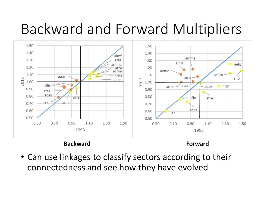### Backward and Forward Multipliers



#### **Backward Forward**

• Can use linkages to classify sectors according to their connectedness and see how they have evolved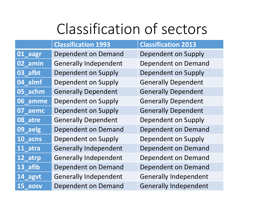### Classification of sectors

|         | <b>Classification 1993</b>   | <b>Classification 2013</b>   |
|---------|------------------------------|------------------------------|
| 01_aagr | <b>Dependent on Demand</b>   | <b>Dependent on Supply</b>   |
| 02_amin | <b>Generally Independent</b> | <b>Dependent on Demand</b>   |
| 03_afbt | <b>Dependent on Supply</b>   | <b>Dependent on Supply</b>   |
| 04_almf | <b>Dependent on Supply</b>   | <b>Generally Dependent</b>   |
| 05_achm | <b>Generally Dependent</b>   | <b>Generally Dependent</b>   |
| 06_amme | <b>Dependent on Supply</b>   | <b>Generally Dependent</b>   |
| 07_aemc | <b>Dependent on Supply</b>   | <b>Generally Dependent</b>   |
| 08_atre | <b>Generally Dependent</b>   | Dependent on Supply          |
| 09_aelg | <b>Dependent on Demand</b>   | <b>Dependent on Demand</b>   |
| 10_acns | Dependent on Supply          | Dependent on Supply          |
| 11_atra | <b>Generally Independent</b> | <b>Dependent on Demand</b>   |
| 12_atrp | <b>Generally Independent</b> | <b>Dependent on Demand</b>   |
| 13_afib | <b>Dependent on Demand</b>   | <b>Dependent on Demand</b>   |
| 14_agvt | <b>Generally Independent</b> | <b>Generally Independent</b> |
| 15 aosv | <b>Dependent on Demand</b>   | <b>Generally Independent</b> |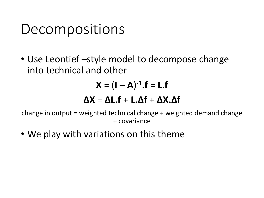### Decompositions

• Use Leontief –style model to decompose change into technical and other

$$
\mathbf{X} = (\mathbf{I} - \mathbf{A})^{-1} \cdot \mathbf{f} = \mathbf{L} \cdot \mathbf{f}
$$

### **ΔX** = **ΔL.f** + **L.Δf** + **ΔX.Δf**

change in output = weighted technical change + weighted demand change + covariance

• We play with variations on this theme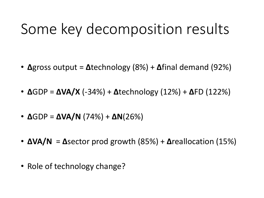### Some key decomposition results

- **Δ**gross output = **Δ**technology (8%) + **Δ**final demand (92%)
- **Δ**GDP = **ΔVA/X** (-34%) + **Δ**technology (12%) + **Δ**FD (122%)
- **Δ**GDP = **ΔVA/N** (74%) + **ΔN**(26%)
- **ΔVA/N** = **Δ**sector prod growth (85%) + **Δ**reallocation (15%)
- Role of technology change?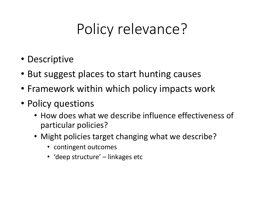## Policy relevance?

- Descriptive
- But suggest places to start hunting causes
- Framework within which policy impacts work
- Policy questions
	- How does what we describe influence effectiveness of particular policies?
	- Might policies target changing what we describe?
		- contingent outcomes
		- 'deep structure' linkages etc